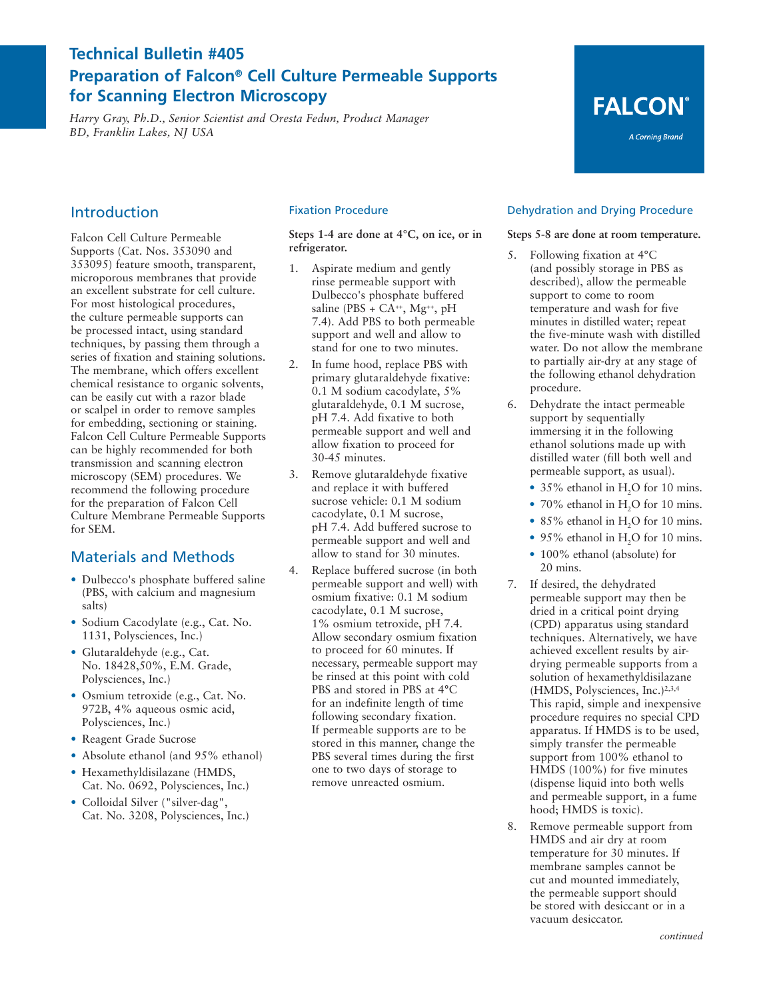## **Technical Bulletin #405 Preparation of Falcon® Cell Culture Permeable Supports for Scanning Electron Microscopy**

*Harry Gray, Ph.D., Senior Scientist and Oresta Fedun, Product Manager BD, Franklin Lakes, NJ USA*

## Introduction

Falcon Cell Culture Permeable Supports (Cat. Nos. 353090 and 353095) feature smooth, transparent, microporous membranes that provide an excellent substrate for cell culture. For most histological procedures, the culture permeable supports can be processed intact, using standard techniques, by passing them through a series of fixation and staining solutions. The membrane, which offers excellent chemical resistance to organic solvents, can be easily cut with a razor blade or scalpel in order to remove samples for embedding, sectioning or staining. Falcon Cell Culture Permeable Supports can be highly recommended for both transmission and scanning electron microscopy (SEM) procedures. We recommend the following procedure for the preparation of Falcon Cell Culture Membrane Permeable Supports for SEM.

## Materials and Methods

- **•** Dulbecco's phosphate buffered saline (PBS, with calcium and magnesium salts)
- **•** Sodium Cacodylate (e.g., Cat. No. 1131, Polysciences, Inc.)
- **•** Glutaraldehyde (e.g., Cat. No. 18428,50%, E.M. Grade, Polysciences, Inc.)
- **•** Osmium tetroxide (e.g., Cat. No. 972B, 4% aqueous osmic acid, Polysciences, Inc.)
- **•** Reagent Grade Sucrose
- **•** Absolute ethanol (and 95% ethanol)
- **•** Hexamethyldisilazane (HMDS, Cat. No. 0692, Polysciences, Inc.)
- **•** Colloidal Silver ("silver-dag", Cat. No. 3208, Polysciences, Inc.)

#### Fixation Procedure

**Steps 1-4 are done at 4°C, on ice, or in refrigerator.**

- 1. Aspirate medium and gently rinse permeable support with Dulbecco's phosphate buffered saline (PBS + CA<sup>++</sup>, Mg<sup>++</sup>, pH 7.4). Add PBS to both permeable support and well and allow to stand for one to two minutes.
- 2. In fume hood, replace PBS with primary glutaraldehyde fixative: 0.1 M sodium cacodylate, 5% glutaraldehyde, 0.1 M sucrose, pH 7.4. Add fixative to both permeable support and well and allow fixation to proceed for 30-45 minutes.
- 3. Remove glutaraldehyde fixative and replace it with buffered sucrose vehicle: 0.1 M sodium cacodylate, 0.1 M sucrose, pH 7.4. Add buffered sucrose to permeable support and well and allow to stand for 30 minutes.
- 4. Replace buffered sucrose (in both permeable support and well) with osmium fixative: 0.1 M sodium cacodylate, 0.1 M sucrose, 1% osmium tetroxide, pH 7.4. Allow secondary osmium fixation to proceed for 60 minutes. If necessary, permeable support may be rinsed at this point with cold PBS and stored in PBS at 4°C for an indefinite length of time following secondary fixation. If permeable supports are to be stored in this manner, change the PBS several times during the first one to two days of storage to remove unreacted osmium.

#### Dehydration and Drying Procedure

**FALCON®** 

A Corning Brand

#### **Steps 5-8 are done at room temperature.**

- 5. Following fixation at 4°C (and possibly storage in PBS as described), allow the permeable support to come to room temperature and wash for five minutes in distilled water; repeat the five-minute wash with distilled water. Do not allow the membrane to partially air-dry at any stage of the following ethanol dehydration procedure.
- 6. Dehydrate the intact permeable support by sequentially immersing it in the following ethanol solutions made up with distilled water (fill both well and permeable support, as usual).
	- 35% ethanol in H<sub>2</sub>O for 10 mins.
	- 70% ethanol in H<sub>2</sub>O for 10 mins.
	- 85% ethanol in H<sub>2</sub>O for 10 mins.
	- 95% ethanol in H<sub>2</sub>O for 10 mins.
	- **•** 100% ethanol (absolute) for 20 mins.
- 7. If desired, the dehydrated permeable support may then be dried in a critical point drying (CPD) apparatus using standard techniques. Alternatively, we have achieved excellent results by airdrying permeable supports from a solution of hexamethyldisilazane (HMDS, Polysciences, Inc.)2,3,4 This rapid, simple and inexpensive procedure requires no special CPD apparatus. If HMDS is to be used, simply transfer the permeable support from 100% ethanol to HMDS (100%) for five minutes (dispense liquid into both wells and permeable support, in a fume hood; HMDS is toxic).
- 8. Remove permeable support from HMDS and air dry at room temperature for 30 minutes. If membrane samples cannot be cut and mounted immediately, the permeable support should be stored with desiccant or in a vacuum desiccator.